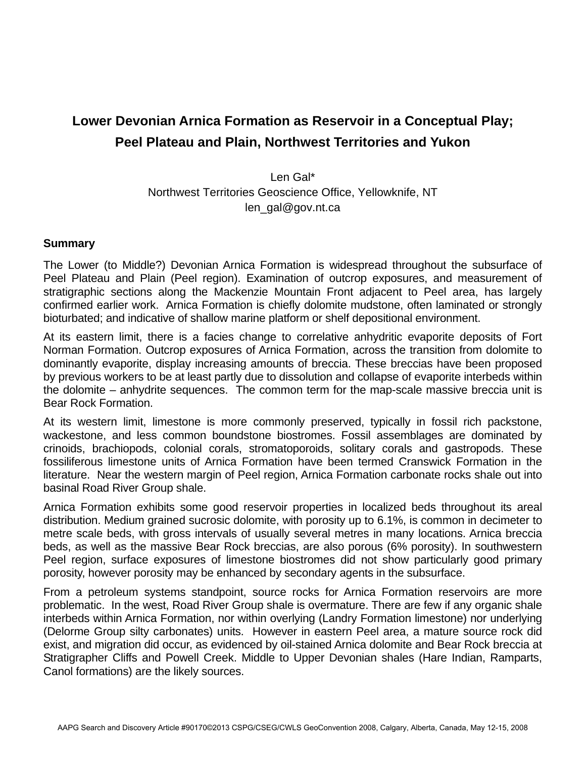## **Lower Devonian Arnica Formation as Reservoir in a Conceptual Play; Peel Plateau and Plain, Northwest Territories and Yukon**

Len Gal\* Northwest Territories Geoscience Office, Yellowknife, NT len\_gal@gov.nt.ca

## **Summary**

The Lower (to Middle?) Devonian Arnica Formation is widespread throughout the subsurface of Peel Plateau and Plain (Peel region). Examination of outcrop exposures, and measurement of stratigraphic sections along the Mackenzie Mountain Front adjacent to Peel area, has largely confirmed earlier work. Arnica Formation is chiefly dolomite mudstone, often laminated or strongly bioturbated; and indicative of shallow marine platform or shelf depositional environment.

At its eastern limit, there is a facies change to correlative anhydritic evaporite deposits of Fort Norman Formation. Outcrop exposures of Arnica Formation, across the transition from dolomite to dominantly evaporite, display increasing amounts of breccia. These breccias have been proposed by previous workers to be at least partly due to dissolution and collapse of evaporite interbeds within the dolomite – anhydrite sequences. The common term for the map-scale massive breccia unit is Bear Rock Formation.

At its western limit, limestone is more commonly preserved, typically in fossil rich packstone, wackestone, and less common boundstone biostromes. Fossil assemblages are dominated by crinoids, brachiopods, colonial corals, stromatoporoids, solitary corals and gastropods. These fossiliferous limestone units of Arnica Formation have been termed Cranswick Formation in the literature. Near the western margin of Peel region, Arnica Formation carbonate rocks shale out into basinal Road River Group shale.

Arnica Formation exhibits some good reservoir properties in localized beds throughout its areal distribution. Medium grained sucrosic dolomite, with porosity up to 6.1%, is common in decimeter to metre scale beds, with gross intervals of usually several metres in many locations. Arnica breccia beds, as well as the massive Bear Rock breccias, are also porous (6% porosity). In southwestern Peel region, surface exposures of limestone biostromes did not show particularly good primary porosity, however porosity may be enhanced by secondary agents in the subsurface.

From a petroleum systems standpoint, source rocks for Arnica Formation reservoirs are more problematic. In the west, Road River Group shale is overmature. There are few if any organic shale interbeds within Arnica Formation, nor within overlying (Landry Formation limestone) nor underlying (Delorme Group silty carbonates) units. However in eastern Peel area, a mature source rock did exist, and migration did occur, as evidenced by oil-stained Arnica dolomite and Bear Rock breccia at Stratigrapher Cliffs and Powell Creek. Middle to Upper Devonian shales (Hare Indian, Ramparts, Canol formations) are the likely sources.